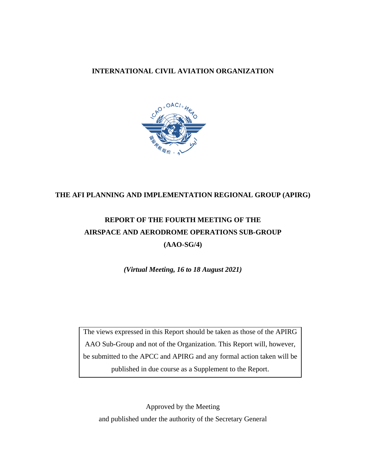#### **INTERNATIONAL CIVIL AVIATION ORGANIZATION**



## **THE AFI PLANNING AND IMPLEMENTATION REGIONAL GROUP (APIRG)**

# **REPORT OF THE FOURTH MEETING OF THE AIRSPACE AND AERODROME OPERATIONS SUB-GROUP (AAO-SG/4)**

*(Virtual Meeting, 16 to 18 August 2021)*

The views expressed in this Report should be taken as those of the APIRG AAO Sub-Group and not of the Organization. This Report will, however, be submitted to the APCC and APIRG and any formal action taken will be published in due course as a Supplement to the Report.

Approved by the Meeting and published under the authority of the Secretary General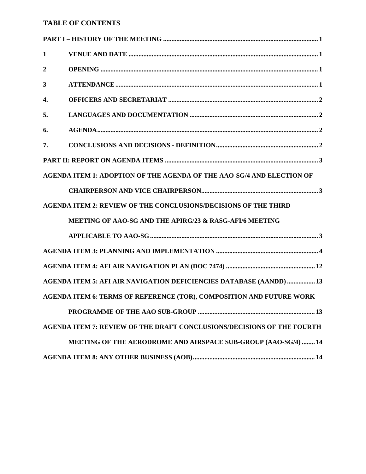## **TABLE OF CONTENTS**

| 1                |                                                                               |
|------------------|-------------------------------------------------------------------------------|
| $\boldsymbol{2}$ |                                                                               |
| 3                |                                                                               |
| 4.               |                                                                               |
| 5.               |                                                                               |
| 6.               |                                                                               |
| 7.               |                                                                               |
|                  |                                                                               |
|                  | AGENDA ITEM 1: ADOPTION OF THE AGENDA OF THE AAO-SG/4 AND ELECTION OF         |
|                  |                                                                               |
|                  | <b>AGENDA ITEM 2: REVIEW OF THE CONCLUSIONS/DECISIONS OF THE THIRD</b>        |
|                  | <b>MEETING OF AAO-SG AND THE APIRG/23 &amp; RASG-AFI/6 MEETING</b>            |
|                  |                                                                               |
|                  |                                                                               |
|                  |                                                                               |
|                  | AGENDA ITEM 5: AFI AIR NAVIGATION DEFICIENCIES DATABASE (AANDD)  13           |
|                  | AGENDA ITEM 6: TERMS OF REFERENCE (TOR), COMPOSITION AND FUTURE WORK          |
|                  |                                                                               |
|                  | <b>AGENDA ITEM 7: REVIEW OF THE DRAFT CONCLUSIONS/DECISIONS OF THE FOURTH</b> |
|                  | MEETING OF THE AERODROME AND AIRSPACE SUB-GROUP (AAO-SG/4)  14                |
|                  |                                                                               |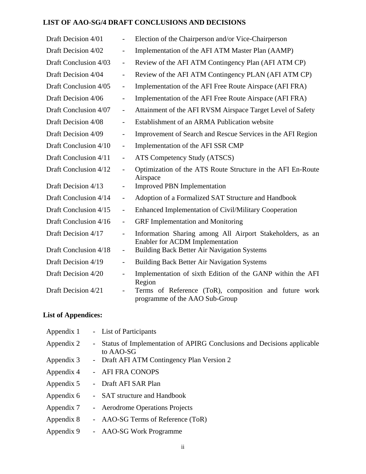# **LIST OF AAO-SG/4 DRAFT CONCLUSIONS AND DECISIONS**

| Draft Decision 4/01   | $\overline{\phantom{0}}$     | Election of the Chairperson and/or Vice-Chairperson                                          |
|-----------------------|------------------------------|----------------------------------------------------------------------------------------------|
| Draft Decision 4/02   | $\overline{\phantom{0}}$     | Implementation of the AFI ATM Master Plan (AAMP)                                             |
| Draft Conclusion 4/03 | $\overline{\phantom{0}}$     | Review of the AFI ATM Contingency Plan (AFI ATM CP)                                          |
| Draft Decision 4/04   | $\overline{\phantom{0}}$     | Review of the AFI ATM Contingency PLAN (AFI ATM CP)                                          |
| Draft Conclusion 4/05 | $\overline{\phantom{0}}$     | Implementation of the AFI Free Route Airspace (AFI FRA)                                      |
| Draft Decision 4/06   | $\overline{\phantom{0}}$     | Implementation of the AFI Free Route Airspace (AFI FRA)                                      |
| Draft Conclusion 4/07 | $\qquad \qquad -$            | Attainment of the AFI RVSM Airspace Target Level of Safety                                   |
| Draft Decision 4/08   | $\overline{\phantom{0}}$     | Establishment of an ARMA Publication website                                                 |
| Draft Decision 4/09   | $\qquad \qquad -$            | Improvement of Search and Rescue Services in the AFI Region                                  |
| Draft Conclusion 4/10 | $\overline{\phantom{0}}$     | Implementation of the AFI SSR CMP                                                            |
| Draft Conclusion 4/11 | $\overline{\phantom{0}}$     | ATS Competency Study (ATSCS)                                                                 |
| Draft Conclusion 4/12 | $\overline{a}$               | Optimization of the ATS Route Structure in the AFI En-Route<br>Airspace                      |
| Draft Decision 4/13   | $\qquad \qquad \blacksquare$ | <b>Improved PBN Implementation</b>                                                           |
| Draft Conclusion 4/14 | $\overline{\phantom{0}}$     | Adoption of a Formalized SAT Structure and Handbook                                          |
| Draft Conclusion 4/15 | $\overline{\phantom{0}}$     | Enhanced Implementation of Civil/Military Cooperation                                        |
| Draft Conclusion 4/16 | $\overline{\phantom{0}}$     | <b>GRF</b> Implementation and Monitoring                                                     |
| Draft Decision 4/17   | $\overline{\phantom{0}}$     | Information Sharing among All Airport Stakeholders, as an<br>Enabler for ACDM Implementation |
| Draft Conclusion 4/18 | $\overline{\phantom{a}}$     | <b>Building Back Better Air Navigation Systems</b>                                           |
| Draft Decision 4/19   | $\qquad \qquad -$            | <b>Building Back Better Air Navigation Systems</b>                                           |
| Draft Decision 4/20   | $\overline{\phantom{a}}$     | Implementation of sixth Edition of the GANP within the AFI<br>Region                         |
| Draft Decision 4/21   |                              | Terms of Reference (ToR), composition and future work<br>programme of the AAO Sub-Group      |

# **List of Appendices:**

| Appendix 1 | - List of Participants                                                                |
|------------|---------------------------------------------------------------------------------------|
| Appendix 2 | - Status of Implementation of APIRG Conclusions and Decisions applicable<br>to AAO-SG |
| Appendix 3 | - Draft AFI ATM Contingency Plan Version 2                                            |
| Appendix 4 | - AFI FRA CONOPS                                                                      |
| Appendix 5 | - Draft AFI SAR Plan                                                                  |
| Appendix 6 | - SAT structure and Handbook                                                          |
| Appendix 7 | - Aerodrome Operations Projects                                                       |
| Appendix 8 | - AAO-SG Terms of Reference (ToR)                                                     |
| Appendix 9 | - AAO-SG Work Programme                                                               |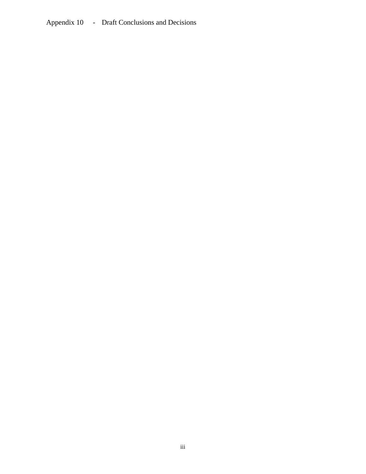Appendix 10 - Draft Conclusions and Decisions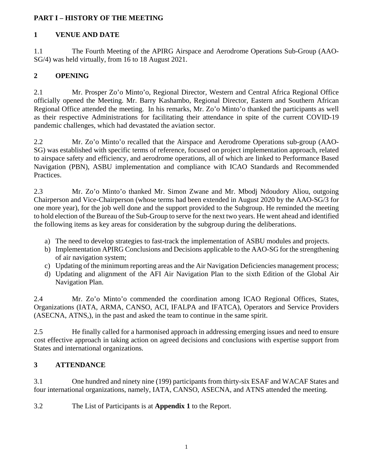## <span id="page-4-0"></span>**PART I – HISTORY OF THE MEETING**

# <span id="page-4-1"></span>**1 VENUE AND DATE**

1.1 The Fourth Meeting of the APIRG Airspace and Aerodrome Operations Sub-Group (AAO-SG/4) was held virtually, from 16 to 18 August 2021.

# <span id="page-4-2"></span>**2 OPENING**

2.1 Mr. Prosper Zo'o Minto'o, Regional Director, Western and Central Africa Regional Office officially opened the Meeting. Mr. Barry Kashambo, Regional Director, Eastern and Southern African Regional Office attended the meeting. In his remarks, Mr. Zo'o Minto'o thanked the participants as well as their respective Administrations for facilitating their attendance in spite of the current COVID-19 pandemic challenges, which had devastated the aviation sector.

2.2 Mr. Zo'o Minto'o recalled that the Airspace and Aerodrome Operations sub-group (AAO-SG) was established with specific terms of reference, focused on project implementation approach, related to airspace safety and efficiency, and aerodrome operations, all of which are linked to Performance Based Navigation (PBN), ASBU implementation and compliance with ICAO Standards and Recommended Practices.

2.3 Mr. Zo'o Minto'o thanked Mr. Simon Zwane and Mr. Mbodj Ndoudory Aliou, outgoing Chairperson and Vice-Chairperson (whose terms had been extended in August 2020 by the AAO-SG/3 for one more year), for the job well done and the support provided to the Subgroup. He reminded the meeting to hold election of the Bureau of the Sub-Group to serve for the next two years. He went ahead and identified the following items as key areas for consideration by the subgroup during the deliberations.

- a) The need to develop strategies to fast-track the implementation of ASBU modules and projects.
- b) Implementation APIRG Conclusions and Decisions applicable to the AAO-SG for the strengthening of air navigation system;
- c) Updating of the minimum reporting areas and the Air Navigation Deficiencies management process;
- d) Updating and alignment of the AFI Air Navigation Plan to the sixth Edition of the Global Air Navigation Plan.

2.4 Mr. Zo'o Minto'o commended the coordination among ICAO Regional Offices, States, Organizations (IATA, ARMA, CANSO, ACI, IFALPA and IFATCA), Operators and Service Providers (ASECNA, ATNS,), in the past and asked the team to continue in the same spirit.

2.5 He finally called for a harmonised approach in addressing emerging issues and need to ensure cost effective approach in taking action on agreed decisions and conclusions with expertise support from States and international organizations.

# <span id="page-4-3"></span>**3 ATTENDANCE**

3.1 One hundred and ninety nine (199) participants from thirty-six ESAF and WACAF States and four international organizations, namely, IATA, CANSO, ASECNA, and ATNS attended the meeting.

3.2 The List of Participants is at **Appendix 1** to the Report.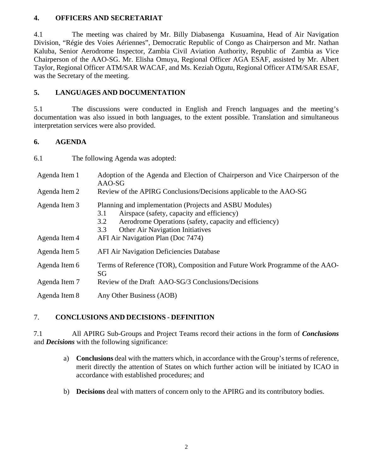#### <span id="page-5-0"></span>**4. OFFICERS AND SECRETARIAT**

4.1 The meeting was chaired by Mr. Billy Diabasenga Kusuamina, Head of Air Navigation Division, "Régie des Voies Aériennes", Democratic Republic of Congo as Chairperson and Mr. Nathan Kaluba, Senior Aerodrome Inspector, Zambia Civil Aviation Authority, Republic of Zambia as Vice Chairperson of the AAO-SG. Mr. Elisha Omuya, Regional Officer AGA ESAF, assisted by Mr. Albert Taylor, Regional Officer ATM/SAR WACAF, and Ms. Keziah Ogutu, Regional Officer ATM/SAR ESAF, was the Secretary of the meeting.

#### <span id="page-5-1"></span>**5. LANGUAGES AND DOCUMENTATION**

5.1 The discussions were conducted in English and French languages and the meeting's documentation was also issued in both languages, to the extent possible. Translation and simultaneous interpretation services were also provided.

#### <span id="page-5-2"></span>**6. AGENDA**

| 6.1                            | The following Agenda was adopted:                                                                                                                                                                                                                              |
|--------------------------------|----------------------------------------------------------------------------------------------------------------------------------------------------------------------------------------------------------------------------------------------------------------|
| Agenda Item 1                  | Adoption of the Agenda and Election of Chairperson and Vice Chairperson of the<br>AAO-SG                                                                                                                                                                       |
| Agenda Item 2                  | Review of the APIRG Conclusions/Decisions applicable to the AAO-SG                                                                                                                                                                                             |
| Agenda Item 3<br>Agenda Item 4 | Planning and implementation (Projects and ASBU Modules)<br>Airspace (safety, capacity and efficiency)<br>3.1<br>Aerodrome Operations (safety, capacity and efficiency)<br>3.2<br>Other Air Navigation Initiatives<br>3.3<br>AFI Air Navigation Plan (Doc 7474) |
| Agenda Item 5                  | <b>AFI Air Navigation Deficiencies Database</b>                                                                                                                                                                                                                |
| Agenda Item 6                  | Terms of Reference (TOR), Composition and Future Work Programme of the AAO-<br>SG                                                                                                                                                                              |
| Agenda Item 7                  | Review of the Draft AAO-SG/3 Conclusions/Decisions                                                                                                                                                                                                             |
| Agenda Item 8                  | Any Other Business (AOB)                                                                                                                                                                                                                                       |

# <span id="page-5-3"></span>7. **CONCLUSIONS AND DECISIONS - DEFINITION**

7.1 All APIRG Sub-Groups and Project Teams record their actions in the form of *Conclusions* and *Decisions* with the following significance:

- a) **Conclusions** deal with the matters which, in accordance with the Group's terms of reference, merit directly the attention of States on which further action will be initiated by ICAO in accordance with established procedures; and
- b) **Decisions** deal with matters of concern only to the APIRG and its contributory bodies.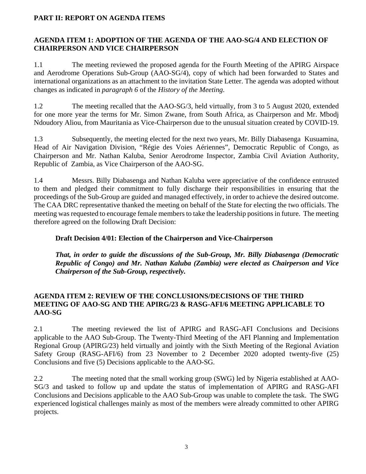## <span id="page-6-0"></span>**PART II: REPORT ON AGENDA ITEMS**

## <span id="page-6-1"></span>**AGENDA ITEM 1: ADOPTION OF THE AGENDA OF THE AAO-SG/4 AND ELECTION OF CHAIRPERSON AND VICE CHAIRPERSON**

1.1 The meeting reviewed the proposed agenda for the Fourth Meeting of the APIRG Airspace and Aerodrome Operations Sub-Group (AAO-SG/4), copy of which had been forwarded to States and international organizations as an attachment to the invitation State Letter. The agenda was adopted without changes as indicated in *paragraph 6* of the *History of the Meeting*.

1.2 The meeting recalled that the AAO-SG/3, held virtually, from 3 to 5 August 2020, extended for one more year the terms for Mr. Simon Zwane, from South Africa, as Chairperson and Mr. Mbodj Ndoudory Aliou, from Mauritania as Vice-Chairperson due to the unusual situation created by COVID-19.

1.3 Subsequently, the meeting elected for the next two years, Mr. Billy Diabasenga Kusuamina, Head of Air Navigation Division, "Régie des Voies Aériennes", Democratic Republic of Congo, as Chairperson and Mr. Nathan Kaluba, Senior Aerodrome Inspector, Zambia Civil Aviation Authority, Republic of Zambia, as Vice Chairperson of the AAO-SG.

1.4 Messrs. Billy Diabasenga and Nathan Kaluba were appreciative of the confidence entrusted to them and pledged their commitment to fully discharge their responsibilities in ensuring that the proceedings of the Sub-Group are guided and managed effectively, in order to achieve the desired outcome. The CAA DRC representative thanked the meeting on behalf of the State for electing the two officials. The meeting was requested to encourage female members to take the leadership positions in future. The meeting therefore agreed on the following Draft Decision:

## **Draft Decision 4/01: Election of the Chairperson and Vice-Chairperson**

*That, in order to guide the discussions of the Sub-Group, Mr. Billy Diabasenga (Democratic Republic of Congo) and Mr. Nathan Kaluba (Zambia) were elected as Chairperson and Vice Chairperson of the Sub-Group, respectively.*

#### <span id="page-6-2"></span>**AGENDA ITEM 2: REVIEW OF THE CONCLUSIONS/DECISIONS OF THE THIRD MEETING OF AAO-SG AND THE APIRG/23 & RASG-AFI/6 MEETING APPLICABLE TO AAO-SG**

2.1 The meeting reviewed the list of APIRG and RASG-AFI Conclusions and Decisions applicable to the AAO Sub-Group. The Twenty-Third Meeting of the AFI Planning and Implementation Regional Group (APIRG/23) held virtually and jointly with the Sixth Meeting of the Regional Aviation Safety Group (RASG-AFI/6) from 23 November to 2 December 2020 adopted twenty-five (25) Conclusions and five (5) Decisions applicable to the AAO-SG.

2.2 The meeting noted that the small working group (SWG) led by Nigeria established at AAO-SG/3 and tasked to follow up and update the status of implementation of APIRG and RASG-AFI Conclusions and Decisions applicable to the AAO Sub-Group was unable to complete the task. The SWG experienced logistical challenges mainly as most of the members were already committed to other APIRG projects.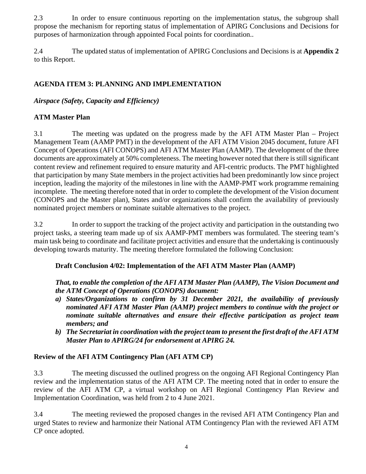2.3 In order to ensure continuous reporting on the implementation status, the subgroup shall propose the mechanism for reporting status of implementation of APIRG Conclusions and Decisions for purposes of harmonization through appointed Focal points for coordination..

2.4 The updated status of implementation of APIRG Conclusions and Decisions is at **Appendix 2** to this Report.

# <span id="page-7-0"></span>**AGENDA ITEM 3: PLANNING AND IMPLEMENTATION**

# *Airspace (Safety, Capacity and Efficiency)*

# **ATM Master Plan**

3.1 The meeting was updated on the progress made by the AFI ATM Master Plan – Project Management Team (AAMP PMT) in the development of the AFI ATM Vision 2045 document, future AFI Concept of Operations (AFI CONOPS) and AFI ATM Master Plan (AAMP). The development of the three documents are approximately at 50% completeness. The meeting however noted that there is still significant content review and refinement required to ensure maturity and AFI-centric products. The PMT highlighted that participation by many State members in the project activities had been predominantly low since project inception, leading the majority of the milestones in line with the AAMP-PMT work programme remaining incomplete. The meeting therefore noted that in order to complete the development of the Vision document (CONOPS and the Master plan), States and/or organizations shall confirm the availability of previously nominated project members or nominate suitable alternatives to the project.

3.2 In order to support the tracking of the project activity and participation in the outstanding two project tasks, a steering team made up of six AAMP-PMT members was formulated. The steering team's main task being to coordinate and facilitate project activities and ensure that the undertaking is continuously developing towards maturity. The meeting therefore formulated the following Conclusion:

# **Draft Conclusion 4/02: Implementation of the AFI ATM Master Plan (AAMP)**

*That, to enable the completion of the AFI ATM Master Plan (AAMP), The Vision Document and the ATM Concept of Operations (CONOPS) document:*

- *a) States/Organizations to confirm by 31 December 2021, the availability of previously nominated AFI ATM Master Plan (AAMP) project members to continue with the project or nominate suitable alternatives and ensure their effective participation as project team members; and*
- *b) The Secretariat in coordination with the project team to present the first draft of the AFI ATM Master Plan to APIRG/24 for endorsement at APIRG 24.*

# **Review of the AFI ATM Contingency Plan (AFI ATM CP)**

3.3 The meeting discussed the outlined progress on the ongoing AFI Regional Contingency Plan review and the implementation status of the AFI ATM CP. The meeting noted that in order to ensure the review of the AFI ATM CP, a virtual workshop on AFI Regional Contingency Plan Review and Implementation Coordination, was held from 2 to 4 June 2021.

3.4 The meeting reviewed the proposed changes in the revised AFI ATM Contingency Plan and urged States to review and harmonize their National ATM Contingency Plan with the reviewed AFI ATM CP once adopted.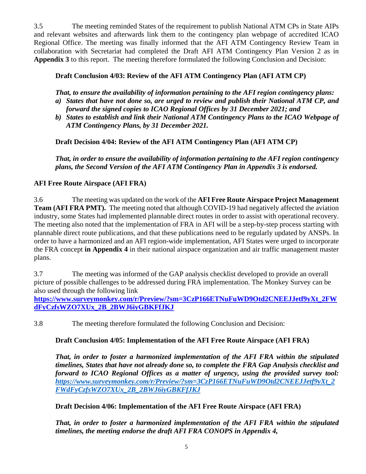3.5 The meeting reminded States of the requirement to publish National ATM CPs in State AIPs and relevant websites and afterwards link them to the contingency plan webpage of accredited ICAO Regional Office. The meeting was finally informed that the AFI ATM Contingency Review Team in collaboration with Secretariat had completed the Draft AFI ATM Contingency Plan Version 2 as in **Appendix 3** to this report. The meeting therefore formulated the following Conclusion and Decision:

# **Draft Conclusion 4/03: Review of the AFI ATM Contingency Plan (AFI ATM CP)**

*That, to ensure the availability of information pertaining to the AFI region contingency plans:*

- *a) States that have not done so, are urged to review and publish their National ATM CP, and forward the signed copies to ICAO Regional Offices by 31 December 2021; and*
- *b) States to establish and link their National ATM Contingency Plans to the ICAO Webpage of ATM Contingency Plans, by 31 December 2021.*

**Draft Decision 4/04: Review of the AFI ATM Contingency Plan (AFI ATM CP)**

*That, in order to ensure the availability of information pertaining to the AFI region contingency plans, the Second Version of the AFI ATM Contingency Plan in Appendix 3 is endorsed.*

## **AFI Free Route Airspace (AFI FRA)**

3.6 The meeting was updated on the work of the **AFI Free Route Airspace Project Management Team (AFI FRA PMT).** The meeting noted that although COVID-19 had negatively affected the aviation industry, some States had implemented plannable direct routes in order to assist with operational recovery. The meeting also noted that the implementation of FRA in AFI will be a step-by-step process starting with plannable direct route publications, and that these publications need to be regularly updated by ANSPs. In order to have a harmonized and an AFI region-wide implementation, AFI States were urged to incorporate the FRA concept **in Appendix 4** in their national airspace organization and air traffic management master plans.

3.7 The meeting was informed of the GAP analysis checklist developed to provide an overall picture of possible challenges to be addressed during FRA implementation. The Monkey Survey can be also used through the following link

**[https://www.surveymonkey.com/r/Preview/?sm=3CzP166ETNuFuWD9Otd2CNEEJJetf9yXt\\_2FW](https://www.surveymonkey.com/r/Preview/?sm=3CzP166ETNuFuWD9Otd2CNEEJJetf9yXt_2FWdFyCzfsWZO7XUx_2B_2BWJ6iyGBKFfJKJ) [dFyCzfsWZO7XUx\\_2B\\_2BWJ6iyGBKFfJKJ](https://www.surveymonkey.com/r/Preview/?sm=3CzP166ETNuFuWD9Otd2CNEEJJetf9yXt_2FWdFyCzfsWZO7XUx_2B_2BWJ6iyGBKFfJKJ)**

3.8 The meeting therefore formulated the following Conclusion and Decision:

# **Draft Conclusion 4/05: Implementation of the AFI Free Route Airspace (AFI FRA)**

*That, in order to foster a harmonized implementation of the AFI FRA within the stipulated timelines, States that have not already done so, to complete the FRA Gap Analysis checklist and forward to ICAO Regional Offices as a matter of urgency, using the provided survey tool: [https://www.surveymonkey.com/r/Preview/?sm=3CzP166ETNuFuWD9Otd2CNEEJJetf9yXt\\_2](https://www.surveymonkey.com/r/Preview/?sm=3CzP166ETNuFuWD9Otd2CNEEJJetf9yXt_2FWdFyCzfsWZO7XUx_2B_2BWJ6iyGBKFfJKJ) [FWdFyCzfsWZO7XUx\\_2B\\_2BWJ6iyGBKFfJKJ](https://www.surveymonkey.com/r/Preview/?sm=3CzP166ETNuFuWD9Otd2CNEEJJetf9yXt_2FWdFyCzfsWZO7XUx_2B_2BWJ6iyGBKFfJKJ)*

**Draft Decision 4/06: Implementation of the AFI Free Route Airspace (AFI FRA)**

*That, in order to foster a harmonized implementation of the AFI FRA within the stipulated timelines, the meeting endorse the draft AFI FRA CONOPS in Appendix 4,*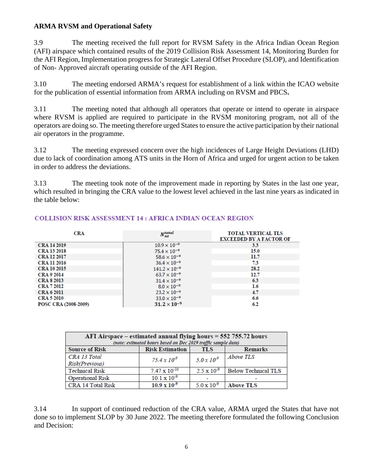## **ARMA RVSM and Operational Safety**

3.9 The meeting received the full report for RVSM Safety in the Africa Indian Ocean Region (AFI) airspace which contained results of the 2019 Collision Risk Assessment 14, Monitoring Burden for the AFI Region, Implementation progress for Strategic Lateral Offset Procedure (SLOP), and Identification of Non- Approved aircraft operating outside of the AFI Region.

3.10 The meeting endorsed ARMA's request for establishment of a link within the ICAO website for the publication of essential information from ARMA including on RVSM and PBCS**.** 

3.11 The meeting noted that although all operators that operate or intend to operate in airspace where RVSM is applied are required to participate in the RVSM monitoring program, not all of the operators are doing so. The meeting therefore urged States to ensure the active participation by their national air operators in the programme.

3.12 The meeting expressed concern over the high incidences of Large Height Deviations (LHD) due to lack of coordination among ATS units in the Horn of Africa and urged for urgent action to be taken in order to address the deviations.

3.13 The meeting took note of the improvement made in reporting by States in the last one year, which resulted in bringing the CRA value to the lowest level achieved in the last nine years as indicated in the table below:

| <b>CRA</b>           | $N_{az}^{total}$       | <b>TOTAL VERTICAL TLS</b><br><b>EXCEEDED BY A FACTOR OF</b> |
|----------------------|------------------------|-------------------------------------------------------------|
| <b>CRA 14 2019</b>   | $10.9 \times 10^{-9}$  | 3.3                                                         |
| <b>CRA 13 2018</b>   | $75.4 \times 10^{-9}$  | 15.0                                                        |
| <b>CRA 12 2017</b>   | $58.6 \times 10^{-9}$  | 11.7                                                        |
| <b>CRA 11 2016</b>   | $36.4 \times 10^{-9}$  | 7.3                                                         |
| <b>CRA 10 2015</b>   | $141.2 \times 10^{-9}$ | 28.2                                                        |
| <b>CRA 9 2014</b>    | $63.7 \times 10^{-9}$  | 12.7                                                        |
| <b>CRA 8 2013</b>    | $31.4 \times 10^{-9}$  | 6.3                                                         |
| <b>CRA 7 2012</b>    | $8.0 \times 10^{-9}$   | $1.6\phantom{0}$                                            |
| <b>CRA 6 2011</b>    | $23.2 \times 10^{-9}$  | 4.7                                                         |
| <b>CRA 5 2010</b>    | $33.0 \times 10^{-9}$  | 6.6                                                         |
| POSC CRA (2008-2009) | $31.2 \times 10^{-9}$  | 6.2                                                         |

#### **COLLISION RISK ASSESSMENT 14: AFRICA INDIAN OCEAN REGION**

| AFI Airspace – estimated annual flying hours = 552 755.72 hours<br>(note: estimated hours based on Dec 2019 traffic sample data) |                        |                      |                            |  |  |  |
|----------------------------------------------------------------------------------------------------------------------------------|------------------------|----------------------|----------------------------|--|--|--|
| <b>Source of Risk</b>                                                                                                            | <b>Risk Estimation</b> | <b>TLS</b>           | <b>Remarks</b>             |  |  |  |
| CRA 13 Total                                                                                                                     | $75.4 \times 10^{9}$   | $5.0 \times 10^9$    | Above TLS                  |  |  |  |
| Risk(Previous)                                                                                                                   |                        |                      |                            |  |  |  |
| <b>Technical Risk</b>                                                                                                            | $7.47 \times 10^{-10}$ | $2.5 \times 10^{-9}$ | <b>Below Technical TLS</b> |  |  |  |
| <b>Operational Risk</b>                                                                                                          | $10.1 \times 10^{-9}$  |                      |                            |  |  |  |
| <b>CRA 14 Total Risk</b>                                                                                                         | $10.9 \times 10^{-9}$  | $5.0 \times 10^{-9}$ | <b>Above TLS</b>           |  |  |  |

3.14 In support of continued reduction of the CRA value, ARMA urged the States that have not done so to implement SLOP by 30 June 2022. The meeting therefore formulated the following Conclusion and Decision: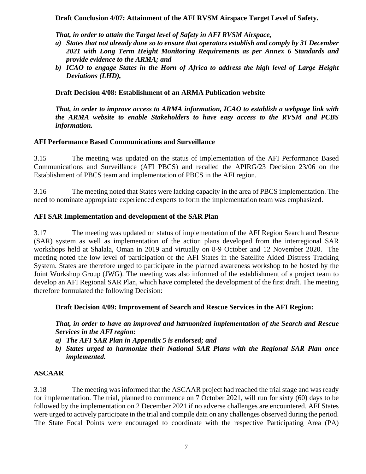#### **Draft Conclusion 4/07: Attainment of the AFI RVSM Airspace Target Level of Safety.**

*That, in order to attain the Target level of Safety in AFI RVSM Airspace,*

- *a) States that not already done so to ensure that operators establish and comply by 31 December 2021 with Long Term Height Monitoring Requirements as per Annex 6 Standards and provide evidence to the ARMA; and*
- *b) ICAO to engage States in the Horn of Africa to address the high level of Large Height Deviations (LHD),*

## **Draft Decision 4/08: Establishment of an ARMA Publication website**

*That, in order to improve access to ARMA information, ICAO to establish a webpage link with the ARMA website to enable Stakeholders to have easy access to the RVSM and PCBS information.*

#### **AFI Performance Based Communications and Surveillance**

3.15 The meeting was updated on the status of implementation of the AFI Performance Based Communications and Surveillance (AFI PBCS) and recalled the APIRG/23 Decision 23/06 on the Establishment of PBCS team and implementation of PBCS in the AFI region.

3.16 The meeting noted that States were lacking capacity in the area of PBCS implementation. The need to nominate appropriate experienced experts to form the implementation team was emphasized.

#### **AFI SAR Implementation and development of the SAR Plan**

3.17 The meeting was updated on status of implementation of the AFI Region Search and Rescue (SAR) system as well as implementation of the action plans developed from the interregional SAR workshops held at Shalala, Oman in 2019 and virtually on 8-9 October and 12 November 2020. The meeting noted the low level of participation of the AFI States in the Satellite Aided Distress Tracking System. States are therefore urged to participate in the planned awareness workshop to be hosted by the Joint Workshop Group (JWG). The meeting was also informed of the establishment of a project team to develop an AFI Regional SAR Plan, which have completed the development of the first draft. The meeting therefore formulated the following Decision:

## **Draft Decision 4/09: Improvement of Search and Rescue Services in the AFI Region:**

*That, in order to have an improved and harmonized implementation of the Search and Rescue Services in the AFI region:*

- *a) The AFI SAR Plan in Appendix 5 is endorsed; and*
- *b) States urged to harmonize their National SAR Plans with the Regional SAR Plan once implemented.*

## **ASCAAR**

3.18 The meeting was informed that the ASCAAR project had reached the trial stage and was ready for implementation. The trial, planned to commence on 7 October 2021, will run for sixty (60) days to be followed by the implementation on 2 December 2021 if no adverse challenges are encountered. AFI States were urged to actively participate in the trial and compile data on any challenges observed during the period. The State Focal Points were encouraged to coordinate with the respective Participating Area (PA)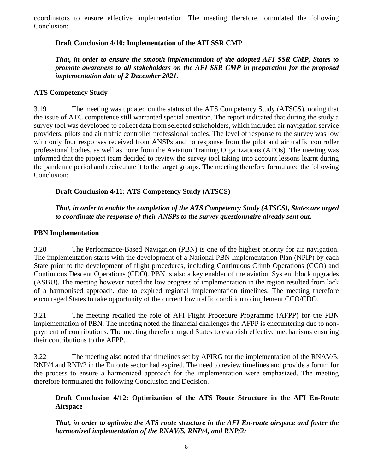coordinators to ensure effective implementation. The meeting therefore formulated the following Conclusion:

## **Draft Conclusion 4/10: Implementation of the AFI SSR CMP**

*That, in order to ensure the smooth implementation of the adopted AFI SSR CMP, States to promote awareness to all stakeholders on the AFI SSR CMP in preparation for the proposed implementation date of 2 December 2021.*

## **ATS Competency Study**

3.19 The meeting was updated on the status of the ATS Competency Study (ATSCS), noting that the issue of ATC competence still warranted special attention. The report indicated that during the study a survey tool was developed to collect data from selected stakeholders, which included air navigation service providers, pilots and air traffic controller professional bodies. The level of response to the survey was low with only four responses received from ANSPs and no response from the pilot and air traffic controller professional bodies, as well as none from the Aviation Training Organizations (ATOs). The meeting was informed that the project team decided to review the survey tool taking into account lessons learnt during the pandemic period and recirculate it to the target groups. The meeting therefore formulated the following Conclusion:

## **Draft Conclusion 4/11: ATS Competency Study (ATSCS)**

*That, in order to enable the completion of the ATS Competency Study (ATSCS), States are urged to coordinate the response of their ANSPs to the survey questionnaire already sent out.*

#### **PBN Implementation**

3.20 The Performance-Based Navigation (PBN) is one of the highest priority for air navigation. The implementation starts with the development of a National PBN Implementation Plan (NPIP) by each State prior to the development of flight procedures, including Continuous Climb Operations (CCO) and Continuous Descent Operations (CDO). PBN is also a key enabler of the aviation System block upgrades (ASBU). The meeting however noted the low progress of implementation in the region resulted from lack of a harmonised approach, due to expired regional implementation timelines. The meeting therefore encouraged States to take opportunity of the current low traffic condition to implement CCO/CDO.

3.21 The meeting recalled the role of AFI Flight Procedure Programme (AFPP) for the PBN implementation of PBN. The meeting noted the financial challenges the AFPP is encountering due to nonpayment of contributions. The meeting therefore urged States to establish effective mechanisms ensuring their contributions to the AFPP.

3.22 The meeting also noted that timelines set by APIRG for the implementation of the RNAV/5, RNP/4 and RNP/2 in the Enroute sector had expired. The need to review timelines and provide a forum for the process to ensure a harmonized approach for the implementation were emphasized. The meeting therefore formulated the following Conclusion and Decision.

**Draft Conclusion 4/12: Optimization of the ATS Route Structure in the AFI En-Route Airspace**

*That, in order to optimize the ATS route structure in the AFI En-route airspace and foster the harmonized implementation of the RNAV/5, RNP/4, and RNP/2:*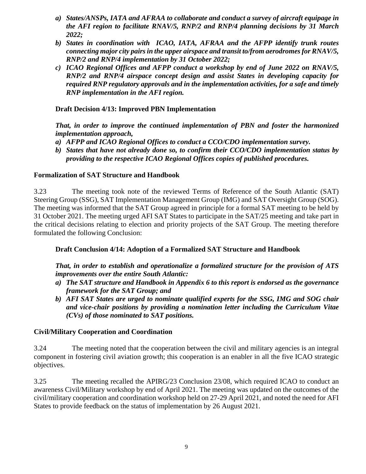- *a) States/ANSPs, IATA and AFRAA to collaborate and conduct a survey of aircraft equipage in the AFI region to facilitate RNAV/5, RNP/2 and RNP/4 planning decisions by 31 March 2022;*
- *b) States in coordination with ICAO, IATA, AFRAA and the AFPP identify trunk routes connecting major city pairs in the upper airspace and transit to/from aerodromes for RNAV/5, RNP/2 and RNP/4 implementation by 31 October 2022;*
- *c) ICAO Regional Offices and AFPP conduct a workshop by end of June 2022 on RNAV/5, RNP/2 and RNP/4 airspace concept design and assist States in developing capacity for required RNP regulatory approvals and in the implementation activities, for a safe and timely RNP implementation in the AFI region.*

#### **Draft Decision 4/13: Improved PBN Implementation**

*That, in order to improve the continued implementation of PBN and foster the harmonized implementation approach,* 

- *a) AFPP and ICAO Regional Offices to conduct a CCO/CDO implementation survey.*
- *b) States that have not already done so, to confirm their CCO/CDO implementation status by providing to the respective ICAO Regional Offices copies of published procedures.*

#### **Formalization of SAT Structure and Handbook**

3.23 The meeting took note of the reviewed Terms of Reference of the South Atlantic (SAT) Steering Group (SSG), SAT Implementation Management Group (IMG) and SAT Oversight Group (SOG). The meeting was informed that the SAT Group agreed in principle for a formal SAT meeting to be held by 31 October 2021. The meeting urged AFI SAT States to participate in the SAT/25 meeting and take part in the critical decisions relating to election and priority projects of the SAT Group. The meeting therefore formulated the following Conclusion:

#### **Draft Conclusion 4/14: Adoption of a Formalized SAT Structure and Handbook**

*That, in order to establish and operationalize a formalized structure for the provision of ATS improvements over the entire South Atlantic:*

- *a) The SAT structure and Handbook in Appendix 6 to this report is endorsed as the governance framework for the SAT Group; and*
- *b) AFI SAT States are urged to nominate qualified experts for the SSG, IMG and SOG chair and vice-chair positions by providing a nomination letter including the Curriculum Vitae (CVs) of those nominated to SAT positions.*

#### **Civil/Military Cooperation and Coordination**

3.24 The meeting noted that the cooperation between the civil and military agencies is an integral component in fostering civil aviation growth; this cooperation is an enabler in all the five ICAO strategic objectives.

3.25 The meeting recalled the APIRG/23 Conclusion 23/08, which required ICAO to conduct an awareness Civil/Military workshop by end of April 2021. The meeting was updated on the outcomes of the civil/military cooperation and coordination workshop held on 27-29 April 2021, and noted the need for AFI States to provide feedback on the status of implementation by 26 August 2021.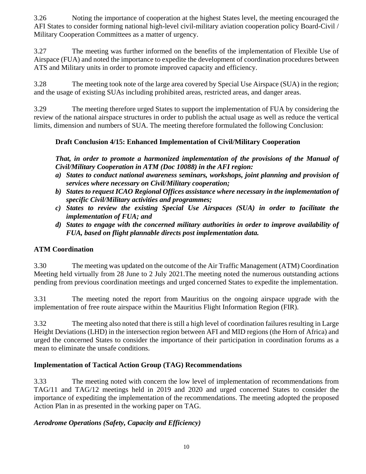3.26 Noting the importance of cooperation at the highest States level, the meeting encouraged the AFI States to consider forming national high-level civil-military aviation cooperation policy Board-Civil / Military Cooperation Committees as a matter of urgency.

3.27 The meeting was further informed on the benefits of the implementation of Flexible Use of Airspace (FUA) and noted the importance to expedite the development of coordination procedures between ATS and Military units in order to promote improved capacity and efficiency.

3.28 The meeting took note of the large area covered by Special Use Airspace (SUA) in the region; and the usage of existing SUAs including prohibited areas, restricted areas, and danger areas.

3.29 The meeting therefore urged States to support the implementation of FUA by considering the review of the national airspace structures in order to publish the actual usage as well as reduce the vertical limits, dimension and numbers of SUA. The meeting therefore formulated the following Conclusion:

## **Draft Conclusion 4/15: Enhanced Implementation of Civil/Military Cooperation**

*That, in order to promote a harmonized implementation of the provisions of the Manual of Civil/Military Cooperation in ATM (Doc 10088) in the AFI region:*

- *a) States to conduct national awareness seminars, workshops, joint planning and provision of services where necessary on Civil/Military cooperation;*
- *b) States to request ICAO Regional Offices assistance where necessary in the implementation of specific Civil/Military activities and programmes;*
- *c) States to review the existing Special Use Airspaces (SUA) in order to facilitate the implementation of FUA; and*
- *d) States to engage with the concerned military authorities in order to improve availability of FUA, based on flight plannable directs post implementation data.*

## **ATM Coordination**

3.30 The meeting was updated on the outcome of the Air Traffic Management (ATM) Coordination Meeting held virtually from 28 June to 2 July 2021.The meeting noted the numerous outstanding actions pending from previous coordination meetings and urged concerned States to expedite the implementation.

3.31 The meeting noted the report from Mauritius on the ongoing airspace upgrade with the implementation of free route airspace within the Mauritius Flight Information Region (FIR).

3.32 The meeting also noted that there is still a high level of coordination failures resulting in Large Height Deviations (LHD) in the intersection region between AFI and MID regions (the Horn of Africa) and urged the concerned States to consider the importance of their participation in coordination forums as a mean to eliminate the unsafe conditions.

## **Implementation of Tactical Action Group (TAG) Recommendations**

3.33 The meeting noted with concern the low level of implementation of recommendations from TAG/11 and TAG/12 meetings held in 2019 and 2020 and urged concerned States to consider the importance of expediting the implementation of the recommendations. The meeting adopted the proposed Action Plan in as presented in the working paper on TAG.

## *Aerodrome Operations (Safety, Capacity and Efficiency)*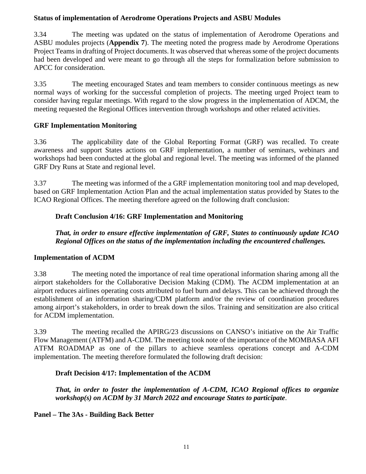## **Status of implementation of Aerodrome Operations Projects and ASBU Modules**

3.34 The meeting was updated on the status of implementation of Aerodrome Operations and ASBU modules projects (**Appendix 7**). The meeting noted the progress made by Aerodrome Operations Project Teams in drafting of Project documents. It was observed that whereas some of the project documents had been developed and were meant to go through all the steps for formalization before submission to APCC for consideration.

3.35 The meeting encouraged States and team members to consider continuous meetings as new normal ways of working for the successful completion of projects. The meeting urged Project team to consider having regular meetings. With regard to the slow progress in the implementation of ADCM, the meeting requested the Regional Offices intervention through workshops and other related activities.

# **GRF Implementation Monitoring**

3.36 The applicability date of the Global Reporting Format (GRF) was recalled. To create awareness and support States actions on GRF implementation, a number of seminars, webinars and workshops had been conducted at the global and regional level. The meeting was informed of the planned GRF Dry Runs at State and regional level.

3.37 The meeting was informed of the a GRF implementation monitoring tool and map developed, based on GRF Implementation Action Plan and the actual implementation status provided by States to the ICAO Regional Offices. The meeting therefore agreed on the following draft conclusion:

## **Draft Conclusion 4/16: GRF Implementation and Monitoring**

*That, in order to ensure effective implementation of GRF, States to continuously update ICAO Regional Offices on the status of the implementation including the encountered challenges.*

## **Implementation of ACDM**

3.38 The meeting noted the importance of real time operational information sharing among all the airport stakeholders for the Collaborative Decision Making (CDM). The ACDM implementation at an airport reduces airlines operating costs attributed to fuel burn and delays. This can be achieved through the establishment of an information sharing/CDM platform and/or the review of coordination procedures among airport's stakeholders, in order to break down the silos. Training and sensitization are also critical for ACDM implementation.

3.39 The meeting recalled the APIRG/23 discussions on CANSO's initiative on the Air Traffic Flow Management (ATFM) and A-CDM. The meeting took note of the importance of the MOMBASA AFI ATFM ROADMAP as one of the pillars to achieve seamless operations concept and A-CDM implementation. The meeting therefore formulated the following draft decision:

# **Draft Decision 4/17: Implementation of the ACDM**

*That, in order to foster the implementation of A-CDM, ICAO Regional offices to organize workshop(s) on ACDM by 31 March 2022 and encourage States to participate*.

**Panel – The 3As - Building Back Better**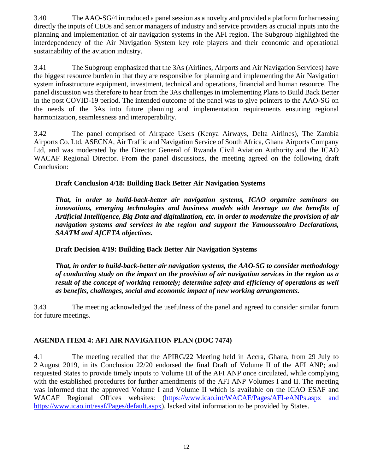3.40 The AAO-SG/4 introduced a panel session as a novelty and provided a platform for harnessing directly the inputs of CEOs and senior managers of industry and service providers as crucial inputs into the planning and implementation of air navigation systems in the AFI region. The Subgroup highlighted the interdependency of the Air Navigation System key role players and their economic and operational sustainability of the aviation industry.

3.41 The Subgroup emphasized that the 3As (Airlines, Airports and Air Navigation Services) have the biggest resource burden in that they are responsible for planning and implementing the Air Navigation system infrastructure equipment, investment, technical and operations, financial and human resource. The panel discussion was therefore to hear from the 3As challenges in implementing Plans to Build Back Better in the post COVID-19 period. The intended outcome of the panel was to give pointers to the AAO-SG on the needs of the 3As into future planning and implementation requirements ensuring regional harmonization, seamlessness and interoperability.

3.42 The panel comprised of Airspace Users (Kenya Airways, Delta Airlines), The Zambia Airports Co. Ltd, ASECNA, Air Traffic and Navigation Service of South Africa, Ghana Airports Company Ltd, and was moderated by the Director General of Rwanda Civil Aviation Authority and the ICAO WACAF Regional Director. From the panel discussions, the meeting agreed on the following draft Conclusion:

#### **Draft Conclusion 4/18: Building Back Better Air Navigation Systems**

*That, in order to build-back-better air navigation systems, ICAO organize seminars on innovations, emerging technologies and business models with leverage on the benefits of Artificial Intelligence, Big Data and digitalization, etc. in order to modernize the provision of air navigation systems and services in the region and support the Yamoussoukro Declarations, SAATM and AfCFTA objectives.* 

#### **Draft Decision 4/19: Building Back Better Air Navigation Systems**

*That, in order to build-back-better air navigation systems, the AAO-SG to consider methodology of conducting study on the impact on the provision of air navigation services in the region as a result of the concept of working remotely; determine safety and efficiency of operations as well as benefits, challenges, social and economic impact of new working arrangements.*

3.43 The meeting acknowledged the usefulness of the panel and agreed to consider similar forum for future meetings.

## <span id="page-15-0"></span>**AGENDA ITEM 4: AFI AIR NAVIGATION PLAN (DOC 7474)**

4.1 The meeting recalled that the APIRG/22 Meeting held in Accra, Ghana, from 29 July to 2 August 2019, in its Conclusion 22/20 endorsed the final Draft of Volume II of the AFI ANP; and requested States to provide timely inputs to Volume III of the AFI ANP once circulated, while complying with the established procedures for further amendments of the AFI ANP Volumes I and II. The meeting was informed that the approved Volume I and Volume II which is available on the ICAO ESAF and WACAF Regional Offices websites: [\(https://www.icao.int/WACAF/Pages/AFI-eANPs.aspx and](https://www.icao.int/WACAF/Pages/AFI-eANPs.aspx%20and) [https://www.icao.int/esaf/Pages/default.aspx\)](https://www.icao.int/esaf/Pages/default.aspx), lacked vital information to be provided by States.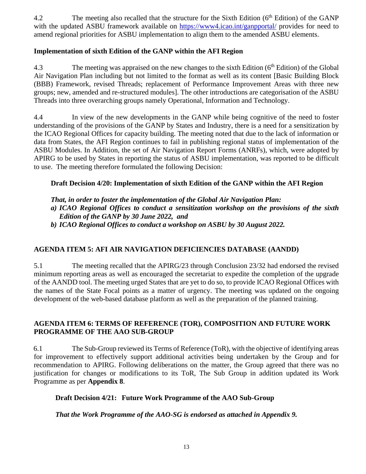4.2 The meeting also recalled that the structure for the Sixth Edition (6<sup>th</sup> Edition) of the GANP with the updated ASBU framework available on<https://www4.icao.int/ganpportal/> provides for need to amend regional priorities for ASBU implementation to align them to the amended ASBU elements.

## **Implementation of sixth Edition of the GANP within the AFI Region**

4.3 The meeting was appraised on the new changes to the sixth Edition (6<sup>th</sup> Edition) of the Global Air Navigation Plan including but not limited to the format as well as its content [Basic Building Block (BBB) Framework, revised Threads; replacement of Performance Improvement Areas with three new groups; new, amended and re-structured modules]. The other introductions are categorisation of the ASBU Threads into three overarching groups namely Operational, Information and Technology.

4.4 In view of the new developments in the GANP while being cognitive of the need to foster understanding of the provisions of the GANP by States and Industry, there is a need for a sensitization by the ICAO Regional Offices for capacity building. The meeting noted that due to the lack of information or data from States, the AFI Region continues to fail in publishing regional status of implementation of the ASBU Modules. In Addition, the set of Air Navigation Report Forms (ANRFs), which, were adopted by APIRG to be used by States in reporting the status of ASBU implementation, was reported to be difficult to use. The meeting therefore formulated the following Decision:

## **Draft Decision 4/20: Implementation of sixth Edition of the GANP within the AFI Region**

*That, in order to foster the implementation of the Global Air Navigation Plan:*

*a) ICAO Regional Offices to conduct a sensitization workshop on the provisions of the sixth Edition of the GANP by 30 June 2022, and*

*b) ICAO Regional Offices to conduct a workshop on ASBU by 30 August 2022.*

# <span id="page-16-0"></span>**AGENDA ITEM 5: AFI AIR NAVIGATION DEFICIENCIES DATABASE (AANDD)**

5.1 The meeting recalled that the APIRG/23 through Conclusion 23/32 had endorsed the revised minimum reporting areas as well as encouraged the secretariat to expedite the completion of the upgrade of the AANDD tool. The meeting urged States that are yet to do so, to provide ICAO Regional Offices with the names of the State Focal points as a matter of urgency. The meeting was updated on the ongoing development of the web-based database platform as well as the preparation of the planned training.

## <span id="page-16-1"></span>**AGENDA ITEM 6: TERMS OF REFERENCE (TOR), COMPOSITION AND FUTURE WORK PROGRAMME OF THE AAO SUB-GROUP**

6.1 The Sub-Group reviewed its Terms of Reference (ToR), with the objective of identifying areas for improvement to effectively support additional activities being undertaken by the Group and for recommendation to APIRG. Following deliberations on the matter, the Group agreed that there was no justification for changes or modifications to its ToR, The Sub Group in addition updated its Work Programme as per **Appendix 8**.

## **Draft Decision 4/21: Future Work Programme of the AAO Sub-Group**

*That the Work Programme of the AAO-SG is endorsed as attached in Appendix 9.*